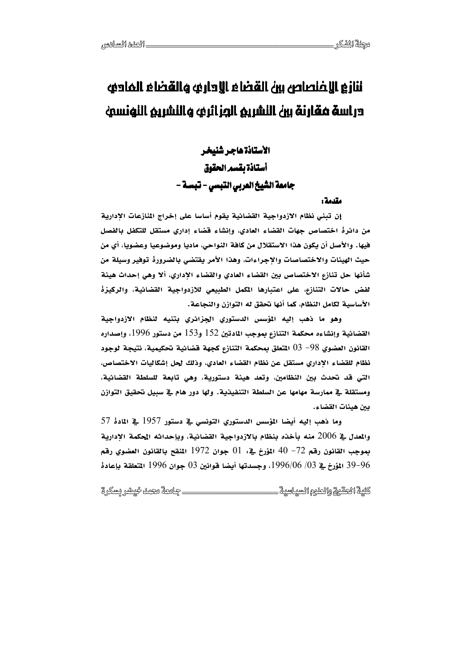# ننازع الإضقاله وبالعلال فلنتقال زبير وعلصنمالا وبألنا دراسة فقارنة بين النشريم الوزائري والنشريم النونسي

الأستاذة هاجر شنيخر أستاذة بقسم الحقوق جامعة الشَّيخ العربي التَّبِسي - تَّبِسةٌ -

### مقدمة و

إن تبني نظام الازدواجية القضائية يقوم أساسا على إخراج المنازعات الإدارية من دائرةْ اختصاص جهات القضاء العادي، وإنشاء قضاء إداري مستقل للتكفل بالفصل فيها. والأصل أن يكون هذا الاستقلال من كافة النواحي، ماديا وموضوعيا وعضويا، أي من حيث الهيئات والاختصاصات والإجراءات، وهذا الأمر يقتضى بالضرورة توفير وسيلة من شأنها حل تنازع الاختصاص بين القضاء العادي والقضاء الإداري، ألا وهي إحداث هيئة لفض حالات التنازع، على اعتبارها المكمل الطبيعي للازدواجية القضائية، والركيزة الأساسية لكامل النظام، كما أنها نحقق له التوازن والنجاعة.

وهو ما ذهب إليه المؤسس الدستوري الجزائري بتنيه لنظام الازدواجية القضائية وإنشاءه محكمة التنازع بموجب المادتين 152 و153 من دستور 1996، وإصداره القانون العضوي 98– 03 المتعلق بمحكمة التنازع كجهة قضائية تحكيمية، نتيجة لوجود نظام للقضاء الإداري مستقل عن نظام القضاء العادي، وذلك لحل إشكاليات الاختصاص، التي قد تحدث بين النظامين، وتعد هيئة دستورية، وهي تابعة للسلطة القضائية، ومستقلة في ممارسة مهامها عن السلطة التنفيذية. ولها دور هام في سبيل تحقيق التوازن بين هيئات القضاء.

وما ذهب إليه أيضا المؤسس الدستوري التونسي في دستور 1957 في المادة 57 والمعدل في 2006 منه بأخذه بنظام بالازدواجية القضائية، وبإحداثه الحكمة الإدارية بِموجِبِ القانون رقم 72– 40 المؤرخ فيـ : 01 جوان 1972 المنقح بالقانون العضوي رقم 96–39 المؤرخ في 1996/06/03، وجسدتها أيضا قوانين 03 جوان 1996 التعلقة بإعادة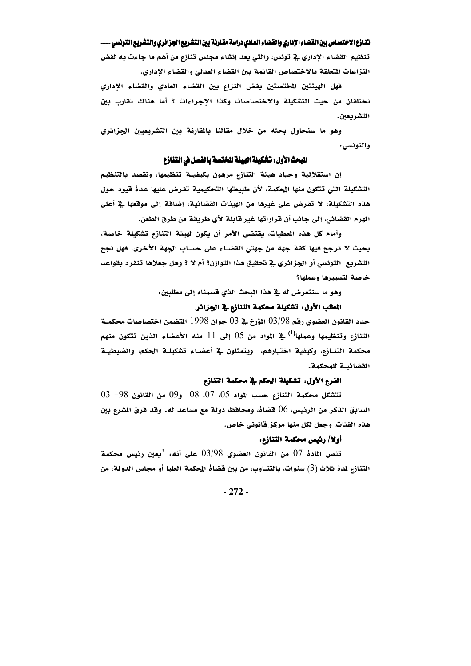تنظيم القضاء الإداري في تونس، والتي يعد إنشاء مجلس تنازع من أهم ما جاءت به لفض النزاعات المتعلقة بالاختصاص القائمة بين القضاء العدلى والقضاء الإداري.

فهل الهيئتين المختصتين بفض النزاع بين القضاء العادي والقضاء الإداري تختلفان من حيث التشكيلة والاختصاصات وكذا الاجراءات ؟ أما هناك تقارب بين التشريعين.

وهو ما سنحاول بحثه من خلال مقالنا بالمقارنة بين التشريعيين الجزائري والتونسي:

### البحث الأول: تشكيلة الهيئة الختصة بالفصل في التنازع

إن استقلالية وحياد هيئة التنازع مرهون بكيفيــة تنظيمها، ونقصد بالتنظيم التشكيلة التي تتكون منها المحكمة، لأن طبيعتها التحكيمية تفرض عليها عدهْ فيود حول هذه التشكيلة، لا تفرض على غيرها من الهيئات القضائية، إضافة إلى موقعها في أعلى الهرم القضائي، إلى جانب أن قراراتها غير قابلة لأي طريقة من طرق الطعن.

وأمام كل هذه المعطيات، يقتضى الأمر أن يكون لهيئة التنازع تشكيلة خاصة، بحيث لا ترجح فيها كفة جهة من جهتي القضاء على حساب الجهة الأخرى. فهل نجح التشريع التونسي أو الجزائري في تحقيق هذا التوازن؟ أم لا ؟ وهل جعلاها تنفرد بقواعد خاصة لتسييرها وعملها؟

وهو ما سنتعرض له في هذا المبحث الذي قسمناه إلى مطلبين:

### المطلب الأول: تشكيلة محكمة التنازع في الجزائر

حدد القانون العضوي رقم 98/98 المؤرخ في 03 جوان 1998 التضمن اختصاصات محكمــة التنازع وتنظيمها وعملها<sup>(1)</sup> في المواد من 05 إلى 11 منه الأعضاء الذين تتكون منهم محكمة التنـازع، وكيفية اختيارهم، ويتمثلون في أعضـاء تشكيلـة الحكم، والضبطيـة القضائيــة للمحكمة.

# الفرع الأول: تشكيلة الحكم في محكمة التنازع

تتشكل محكمة التنازع حسب المواد 05، 07، 08 و09 من القانون 98− 03 السابق الذكر من الرئيس، 06 قضاهْ، ومحافظ دولة مع مساعد له. وقد فرق المشرع بين هذه الفئات، وجعل لكل منها مركز قانوني خاص.

### أولا/ رئيس محكمة التنازع:

تنص المادة 07 من القانون العضوي 03/98 على أنه: "يعين رئيس محكمة التنازع لمدة ثلاث (3) سنوات، بالتنــاوب، من بين قضاة المحكمة العليا أو مجلس الدولة، من

 $-272-$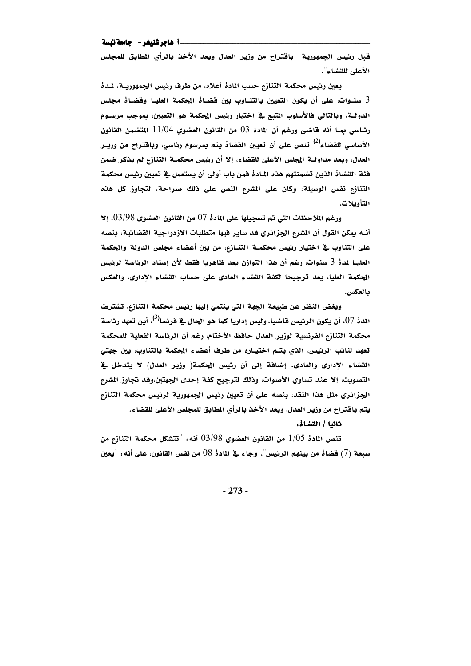### \_\_i\_ هاجر شنيغر - حامعة تبسة

قبل رئيس الجمهورية \_ باقتراح من وزير العدل وبعد الأخذ بالرأي المطابق للمجلس الأعلى للقضاء".

يعين رئيس محكمة التنازع حسب المادة أعلاه، من طرف رئيس الجمهوريــة، لمدة 3 سنـوات، على أن يكون التعيين بالتنـاوب بين قضـاهْ المحكمة العليـا وقضـاهْ مجلس الدولـة، وبالتالي فالأسلوب المتبع في اختيار رئيس المحكمة هو التعيين، بموجب مرسـوم رئاسي بما أنه قاضي ورغم أن المادة 03 من القانون العضوي 11/04 المتضمن القانون الأ*ساسى* للقضاء<sup>(2)</sup> تنص على أن تعيين القضاةْ يتم بمرسوم رئاسي، وباقتراح من وزيــر العدل، وبعد مداولــة المجلس الأعلى للقضاء، إلا أن رئيس محكمــة التنازع لم يذكر ضمن فئة القضاة الذين تضمنتهم هذه المادة فمن باب أولى أن يستعمل في تعيين رئيس محكمة التنازع نفس الوسيلة، وكان على الشرع النص على ذلك صراحة، لتجاوز كل هذه التأويلات.

ورغم الملاحظات التي تم تسجيلها على المادة 07 من القانون العضوي 03/98، إلا أنــه يمكن القول أن المشرع الجزائري قد ساير فيها متطلبات الازدواجية القضائية، بنصه على التناوب في اختيار رئيس محكمــة التنــازم، من بين أعضاء مجلس الدولة والمحكمة العليـا لمدة 3 سنوات، رغم أن هذا التوازن يعد ظاهريا فقط لأن إسناد الرئاسة لرئيس المحكمة العليا، يعد ترجيحا لكفة القضاء العادي على حساب القضاء الإداري، والعكس بالعكس.

وبغض النظر عن طبيعة الجهة التي ينتمي إليها رئيس محكمة التنازع، تشترط اللدة 07. أن يكون الرئيس قاضيا، وليس إداريا كما هو الحال في فرنسا<sup>(3)</sup>. أين تعهد رئاسة محكمة التنازع الفرنسية لوزير العدل حافظ الأختام، رغم أن الرئاسة الفعلية للمحكمة تعهد لنائب الرئيس، الذي يتـم اختيـاره من طرف أعضاء الحكمة بالتناوب، بين جهتي القضاء الإداري والعادي. إضافة إلى أن رئيس الحكمة( وزير العدل) لا يتدخل في التصويت، إلا عند تساوي الأصوات، وذلك لترجيح كفة إحدى الجهتين،وقد تجاوز الشرع الجزائري مثل هذا النقد، بنصه على أن تعيين رئيس الجمهورية لرئيس محكمة التنازع يتم باقتراح من وزير العدل، وبعد الأخذ بالرأي المطابق للمجلس الأعلى للقضاء.

### ثانيا / القضاهْ:

تنص المادة 1/05 من القانون العضوي 03/98 أنه: "تتشكل محكمة التنازع من سبعة (7) قضاهْ من بينهم الرئيس". وجاء في المادهْ 08 من نفس القانون، على أنه: "يعين

 $-273-$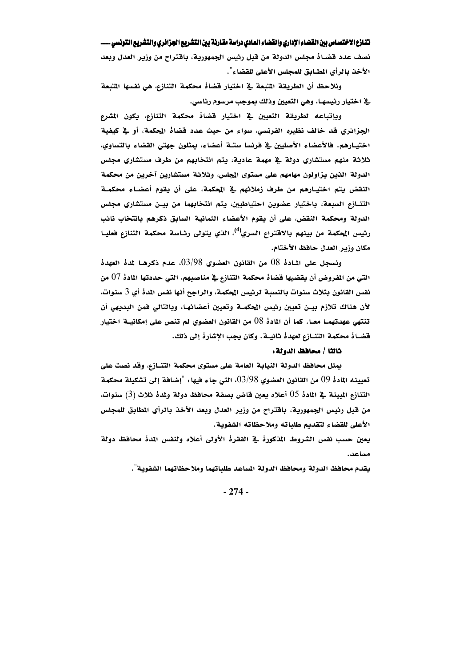نصف عدد قضـاهْ مجلس الدولة من قبل رئيس الجمهورية، باقتراح من وزير العدل وبعد الأخذ بالرأي المطابق للمجلس الأعلى للقضاء".

ونلاحظ أن الطريقة المتبعة في اختيار فضاهْ محكمة التنازع، هي نفسها المتبعة ية اختيار رئيسهـا، وهي التعيين وذلك بموجب مرسوم رئاسي.

وبإتباعه لطريقة التعيين في اختيار قضاهْ محكمة التنازع، يكون المشرع الجزائري قد خالف نظيره الفرنسي، سواءِ من حيث عدد قضاهْ المحكمة، أو في كيفية اختيـارهم. فالأعضاء الأصليين في فرنسا ستـة أعضاء، بمثلون جهتي القضاء بالتساوي، ثلاثة منهم مستشاري دولة في مهمة عادية، يتم انتخابهم من طرف مستشاري مجلس الدولة الذين يزاولون مهامهم على مستوى المجلس، وثلاثة مستشارين آخرين من محكمة النقض يتم اختيارهم من طرف زملائهم في المحكمة، على أن يقوم أعضـاء محكمــة التنـازع السبعة، باختيار عضوين احتياطيين، يتم انتخابهما من بيـن مستشاري مجلس الدولة ومحكمة النقض، على أن يقوم الأعضاء الثمانية السابق ذكرهم بانتخاب نائب رئيس الحكمة من بينهم بالاقتراع السري<sup>(4)</sup>، الذي يتولى رئـاسة محكمة التنازع فعليـا مكان وزير العدل حافظ الأختام.

ونسجل على المادة 08 من القانون العضوي 03/98، عدم ذكرهـا لمدة العهدة التي من الفروض أن يقضيها قضاهْ محكمة التنازع في مناصبهم، التي حددتها المادهْ 07 من نفس القانون بثلاث سنوات بالنسبة لرئيس المحكمة، والراجح أنها نفس المدهْ أي 3 سنوات، لأن هناك تلازم بيـن تعيين رئيس المحكمـة وتعيين أعضائهـا، وبالتالي فمن البديهي أن تنتهي عهدتهمـــا معـــا. كما أن المادة 08 من القانون العضوي لم تنص على إمكانيـــة اختيار فضاهْ محكمة التنــازع لعهدهْ ثانيــة. وكان يجب الإشارهْ إلى ذلك.

# ثالثا / محافظ الدولة:

يمثل محافظ الدولة النيابة العامة على مستوى محكمة التنــازع، وقد نصت على تعيينه المادة 09 من القانون العضوي 03/98، التي جاء فيها : "إضافة إلى تشكيلة محكمة التنازع المبينة في المادة 05 أعلاه يعين قاض بصفة محافظ دولة ولمدة ثلاث (3) سنوات، من قبل رئيس الجمهورية، باقتراح من وزير العدل وبعد الأخذ بالرأي المطابق للمجلس الأعلى للقضاء لتقديم طلباته وملاحظاته الشفوية.

يعين حسب نفس الشروط المذكورةُ في الفقرةُ الأولى أعلاه ولنفس المدةُ محافظ دولة مساعد

يقدم محافظ الدولة ومحافظ الدولة المساعد طلباتهما وملاحظاتهما الشفوية".

 $-274-$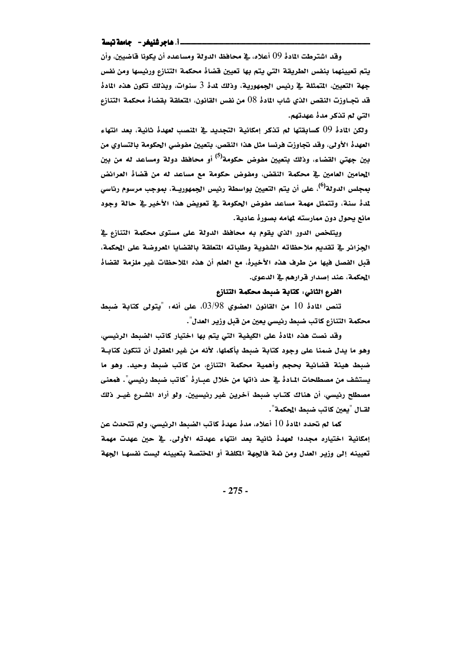### \_\_i. هاجر شنيغر -- جامعة تبسة

وقد اشترطت المادهْ 09 أعلاه، في محافظ الدولة ومساعده أن يكونا قاضيين، وأن يتم تعيينهما بنفس الطريقة التي يتم بها تعيين قضاهْ محكمة التنازع ورئيسها ومن نفس جهة التعيين، المتمثلة في رئيس الجمهورية، وذلك لمدة 3 سنوات، وبذلك تكون هذه المادة قد تجــاوزت النقص الذي شاب المادة 08 من نفس القانون، المتعلقة بقضاة محكمة التنازع التي لم تذكر مدهٔ عهدتهم.

ولكن المادةْ 09 كسابقتها لم تذكر إمكانية التجديد في المنصب لعهدةْ ثانية، بعد انتهاء العهدة الأولى، وقد تجاوزت فرنسا مثل هذا النقص، بتعيين مفوضى الحكومة بالتساوي من بين جهتي القضاء، وذلك بتعيين مفوض حكومة<sup>(0)</sup> أو محافظ دولة ومساعد له من بين المحامين العامين في محكمة النقض، ومفوض حكومة مع مساعد له من قضاه العرائض بِمجِلس الدولة<sup>(0)</sup>، على أن يتم التعيين بواسطة رئيس الجِمهوريــة، بِموجِب مرسوم رئا*سي* لمدة سنة، وتتمثل مهمة مساعد مفوض الحكومة في تعويض هذا الأخير في حالة وجود مانع يحول دون ممارسته لمهامه بصورهٔ عادية.

ويتلخص الدور الذي يقوم به محافظ الدولة على مستوى محكمة التنازع في الجزائر في تقديم ملاحظاته الشفوية وطلباته التعلقة بالقضايا العروضة على الحكمة، قبل الفصل فيها من طرف هذه الأخيرة، مع العلم أن هذه الملاحظات غير ملزمة لقضاة الحكمة، عند إصدار قرارهم في الدعوى.

### الفرع الثاني: كتابة ضبط محكمة التنازع

تنص المادة 10 من القانون العضوي  $03/98$ ، على أنه، "يتولى كتابة ضبط محكمة التنازع كاتب ضبط رئيسي يعين من قبل وزير العدل".

وقد نصت هذه المادةً على الكيفية التي يتم بها اختيار كاتب الضبط الرئيسي، وهو ما يدل ضمنا على وجود كتابة ضبط بأكملها، لأنه من غير المقول أن تتكون كتابـة ضبط هيئة قضائية بحجم وأهمية محكمة التنازع، من كاتب ضبط وحيد. وهو ما يستشف من مصطلحات المادةْ في حد ذاتها من خلال عبـارةْ "كاتب ضبط رئيسي". فمعنى مصطلح رئيسي، أن هناك كتـاب ضبط آخرين غير رئيسيين. ولو أراد المشـرع غيـر ذلك لقــال "يعين كاتب ضبط المحكمة".

كما لم تحدد المادة 10 أعلاه، مدة عهدة كاتب الضبط الرئيسي، ولم تتحدث عن إمكانية اختياره مجددا لعهدةً ثانية بعد انتهاء عهدته الأولى. في حين عهدت مهمة تعيينه إلى وزير العدل ومن ثمة فالجهة المكلفة أو المختصة بتعيينه ليست نفسها الجهة

 $-275-$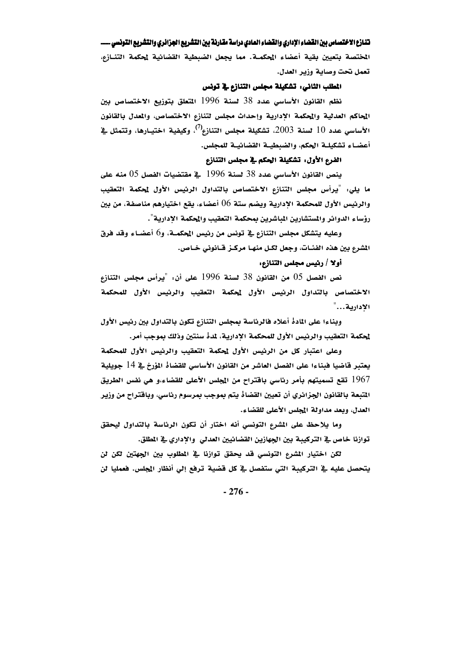المختصة بتعيين بقية أعضاء المحكمـة. مما يجعل الضبطية القضائية لمحكمة التنـازع، تعمل نحت وصاية وزير العدل.

### المطلب الثاني: تشكيلة مجلس التنازع في تونس

نظم القانون الأساسي عدد 38 لسنة 1996 المتعلق بتوزيع الاختصاص بين المحاكم العدلية والمحكمة الإدارية وإحداث مجلس لتنازع الاختصاص، والمعدل بالقانون الأساسي عدد 10 لسنة 2003، تشكيلة مجلس التنازع<sup>(7)</sup>، وكيفية اختيـارها، وتتمثل <u>ـ</u>ـة أعضـاء تشكيلـة الحكم، والضبطيـة القضائيـة للمجلس.

# الفرع الأول: تشكيلة الحكم في مجلس التنازع

ينص القانون الأساسي عدد 38 لسنة 1996 كِ مقتضيات الفصل 05 منه على ما يلي: "يرأس مجلس التنازع الاختصاص بالتداول الرئيس الأول لمحكمة التعقيب والرئيس الأول للمحكمة الادارية ويضم ستة 06 أعضاء، يقع اختيارهم مناصفة، من بين رؤساء الدوائر والمستشارين المباشرين بمحكمة التعقيب والمحكمة الإدارية".

وعليه يتشكل مجلس التنازع في تونس من رئيس المحكمـة، و6 أعضـاء وقد فرق المشرع بين هذه الفئــات، وجعل لكـل منهــا مركــز قــانوني خــاص.

### أولا / رئيس مجلس التنازع:

نص الفصل 05 من القانون 38 لسنة 1996 على أن: "يرأس مجلس التنازع الاختصاص بالتداول الرئيس الأول لمحكمة التعقيب والرئيس الأول للمحكمة الادارية..."

وبناءا على المادة أعلاه فالرئاسة بمجلس التنازع تكون بالتداول بين رئيس الأول لمحكمة التعقيب والرئيس الأول للمحكمة الإدارية، لمدهْ سنتين وذلك بموجب أمر.

وعلى اعتبار كل من الرئيس الأول لمحكمة التعقيب والرئيس الأول للمحكمة يعتبر قاضيا فبناءا على الفصل العاشر من القانون الأساسي للقضاهْ المؤرخ في 14 جويلية 1967 تقع تسميتهم بأمر رئاسي باقتراح من المجلس الأعلى للقضاء،و هي نفس الطريق المتبعة بالقانون الجزائري أن تعيين القضاهْ يتم بموجب بمرسوم رئاسي، وباقتراح من وزير العدل، وبعد مداولة المجلس الأعلى للقضاء.

وما يلاحظ على المشرع التونسي أنه اختار أن تكون الرئاسة بالتداول ليحقق توازنا خاص في التركيبة بين الجهازين القضائيين العدلى ۖ والإداري في المطلق.

لكن اختيار المشرع التونسي قد يحقق توازنا في المطلوب بين الجهتين لكن لن يتحصل عليه في التركيبة التي ستفصل في كل قضية ترفع إلى أنظار المجلس. فعمليا لن

 $-276-$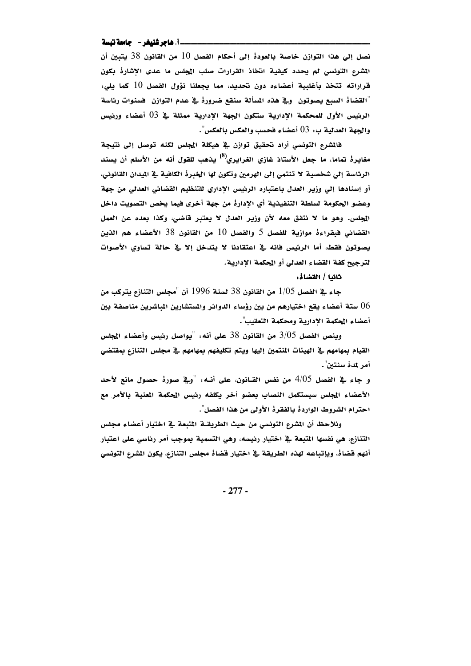### \_\_\_\_i. هاجر شنيغر -- جامعة تبسة

نصل إلى هذا التوازن خاصة بالعودة إلى أحكام الفصل 10 من القانون 38 يتبين أن المشرع التونسي لم يحدد كيفية انخاذ القرارات صلب المجلس ما عدى الإشاره بكون قراراته تتخذ بأغلبية أعضاءه دون تحديد، مما يجعلنا نؤول الفصل 10 كما يلي: "القضاة السبع يصوتون وية هذه المسألة سنقع ضرورة ية عدم التوازن فسنوات رئاسة الرئيس الأول للمحكمة الإدارية ستكون الجهة الإدارية ممثلة في 03 أعضاء ورئيس والجهة العدلية ب: 03 أعضاء فحسب والعكس بالعكس".

فالشرع التونسي أراد تحقيق توازن في هيكلة المجلس لكنه توصل إلى نتيجة مغايرةْ تماما، ما جعل الأستاذ غازي الغرايري<sup>(8)</sup> يذهب للقول أنه من الأسلم أن يسند الرئاسة إلى شخصية لا تنتمي إلى الهرمين وتكون لها الخبرة الكافية في الميدان القانوني، أو إسنادها إلى وزير العدل باعتباره الرئيس الأداري للتنظيم القضائي العدلي من جهة وعضو الحكومة لسلطة التنفيذية أي الإدارة من جهة أخرى فيما يخص التصويت داخل المجلس. وهو ما لا نتفق معه لأن وزير العدل لا يعتبر قاضي، وكذا بعده عن العمل القضائي فبقراءة موازية للفصل 5 والفصل 10 من القانون 38 الأعضاء هم الذين يصوتون فقط، أما الرئيس فانه في اعتقادنا لا يتدخل إلا في حالة تساوى الأصوات لترجيح كفة القضاء العدلى أو المحكمة الإدارية.

خانيا / القضاهْ:

جاء في الفصل 1/05 من القانون 38 لسنة 1996 أن "مجلس التنازع يتركب من ستة أعضاء يقع اختيارهم من بين رؤساء الدوائر والمستشارين المباشرين مناصفة بين  $06\,$ أعضاء المحكمة الادارية ومحكمة التعقيب".

وينص الفصل 3/05 من القانون 38 على أنه: "يواصل رئيس وأعضاء المجلس القيام بمهامهم في الهيئات المنتمين إليها ويتم تكليفهم بمهامهم في مجلس التنازع بمقتضى أمر لمدة سنتين".

و جاء في الفصل 4/05 من نفس القـانون، على أنـه: "وفي صورةْ حصول مانع لأحد الأعضاء المجلس سيستكمل النصاب بعضو أخر يكلفه رئيس المحكمة المعنية بالأمر مع احترام الشروط الواردة بالفقرة الأولى من هذا الفصل".

ونلاحظ أن المشرع التونسي من حيث الطريقــة المتبعة في اختيار أعضاء مجلس التنازع، هي نفسها المتبعة في اختيار رئيسه، وهي التسمية بموجب أمر رئاسي على اعتبار أنهم قضاهْ، وبإتباعه لهذه الطريقة في اختيار قضاهْ مجلس التنازع، يكون المشرع التونسي

 $-277-$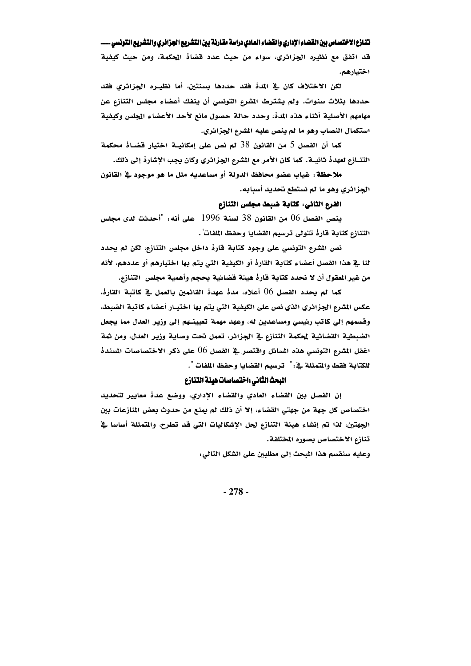قد اتفق مع نظيره الجزائري، سواء من حيث عدد قضاهٔ المحكمة، ومن حيث كيفية اختيارهم.

لكن الاختلاف كان في المدة فقد حددها بسنتين، أما نظيـره الجزائري فقد حددها بثلاث سنوات. ولم يشترط الشرع التونسي أن ينفك أعضاء مجلس التنازع عن مهامهم الأصلية أثناء هذه المده، وحدد حالة حصول مانع لأحد الأعضاء المجلس وكيفية استكمال النصاب وهو ما لم ينص عليه المشرع الجزائري.

كما أن الفصل 5 من القانون 38 لم نص على إمكانيــة اختيار قضـاهْ محكمة التنــازم لعهدهْ ثانيــة. كما كان الأمر مع الشرع الجزائري وكان يجب الإشارهْ إلى ذلك.

ملاحظة: غياب عضو محافظ الدولة أو مساعديه مثل ما هو موجود في القانون الجزائري وهو ما لم نستطع تحديد أسبابه.

الفرع الثاني: كتابة ضبط مجلس التنازع

ينص الفصل 06 من القانون 38 لسنة 1996 على أنه: "أحدثت لدى مجلس التنازع كتابة قارة تتولى ترسيم القضايا وحفظ اللفات".

نص المشرع التونسي على وجود كتابة قارهْ داخل مجلس التنازع، لكن لم يحدد لنا في هذا الفصل أعضاء كتابة القارة أو الكيفية التي يتم بها اختيارهم أو عددهم، لأنه من غير المقول أن لا نحدد كتابة قارهْ هيئة قضائية بحجم وأهمية مجلس ِ التنازع.

كما لم يحدد الفصل 06 أعلاه، مدهْ عهدهْ القائمين بالعمل في كاتبة القارهْ، عكس الشرع الجزائري الذي نص على الكيفية التي يتم بها اختيـار أعضاء كاتبة الضبط، وقسمهم إلي كاتب رئيسي ومساعدين له، وعهد مهمة تعيينـهم إلى وزير العدل مما يجعل الضبطية القضائية لمحكمة التنازع في الجزائر، تعمل نحت وصاية وزير العدل، ومن ثمة اغفل المشرع التونسي هذه المسائل واقتصر في الفصل 06 على ذكر الاختصاصات المسندهْ للكتابة فقط والمتمثلة في : " ترسيم القضايا وحفظ اللفات ".

### البحث الثانى :اختصاصات هيئة التنازع

إن الفصل بين القضاء العادي والقضاء الإداري، ووضع عدهْ معايير لتحديد اختصاص كل جهة من جهتي القضاء، إلا أن ذلك لم يمنع من حدوث بعض المُنازعات بين الجهتين، لذا تم إنشاء هيئة التنازع لحل الإشكاليات التي قد تطرح، والمتمثلة أساسا في تنازع الاختصاص بصوره المختلفة.

وعليه سنقسم هذا المبحث إلى مطلبين على الشكل التالي:

 $-278-$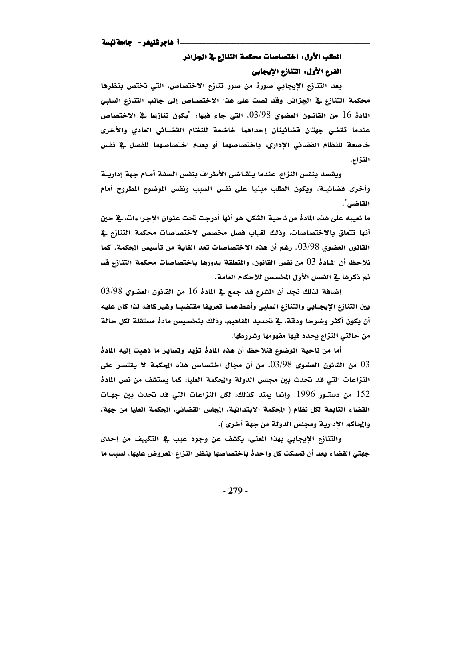# المطلب الأول: اختصاصات محكمة التنازع في الجزائر الفرع الأول: التنازع الإيجابي

يعد التنازع الإيجابي صورةً من صور تنازع الاختصاص، التي تختص بنظرها محكمة التنازع في الجزائر، وقد نصت على هذا الاختصـاص إلى جانب التنازع السلبي المَادةُ 16 من القانـون العضوي  $03/98$ ، التي جاءِ فيها: "يكون تنازعا في الاختصاص عندما تقضى جهتان قضائيتان إحداهما خاضعة للنظام القضائي العادي والأخرى خاضعة للنظام القضائي الإداري، باختصاصهما أو بعدم اختصاصهما للفصل في نفس الذزاع.

ويقصد بنفس النزاع، عندما يتقــاضى الأطراف بنفس الصفة أمــام جهة إداريــة وأخرى فضائيــة، ويكون الطلب مبنيا على نفس السبب ونفس الموضوع المطروح أمام القاضى".

ما نعيبه على هذه المادة من ناحية الشكل، هو أنها أدرجت تحت عنوان الإجراءات، في حين أنها تتعلق بالاختصاصات، وذلك لغياب فصل مخصص لاختصاصات محكمة التنازع في القانون العضوي 03/98. رغم أن هذه الاختصاصات تعد الغاية من تأسيس المحكمة. كما نلاحظ أن المادةْ 03 من نفس القانون، والمتعلقة بدورها باختصاصات محكمة التنازع قد تم ذكرها في الفصل الأول المخصص للأحكام العامة.

 $16$  إضافة لذلك نجد أن الشرع قد جمع في المادة 16 من القانون العضوى 98/98 بين التنازع الإيجـابي والتنازع السلبي وأعطاهمـا تعريفا مقتضبـا وغير كاف، لذا كان عليه أن يكون أكثر وضوحا ودقة، في تحديد الفاهيم، وذلك بتخصيص مادة مستقلة لكل حالة من حالتي النزاع يحدد فيها مفهومها وشروطها.

أما من ناحية الموضوع فنلاحظ أن هذه المادة تؤيد وتساير ما ذهبت إليه المادة من القانون العضوي  $03/\!\!.98$ ، من أن مجال اختصاص هذه المحكمة لا يقتصر على  $03$ النزاعات التي قد تحدث بين مجلس الدولة والمحكمة العليا، كما يستشف من نص الماده 152 من دستـور 1996، وإنما يمتد كذلك، لكل النزاعات التي قد تحدث بين جهـات القضاء التابعة لكل نظام ( الحكمة الابتدائية، الجلس القضائي، المحكمة العليا من جهة، والمحاكم الإدارية ومجلس الدولة من جهة أخرى ).

والتنازع الإيجابي بهذا المعنى، يكشف عن وجود عيب في التكييف من إحدى جهتي القضاء بعد أن تمسكت كل واحدهْ باختصاصها بنظر النزاع المعروض عليها، لسبب ما

 $-279-$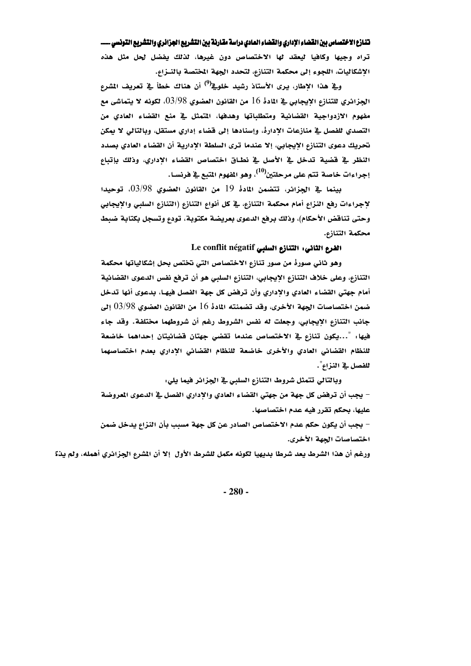تراه وجيها وكافيا ليعقد لها الاختصاص دون غيرها، لذلك يفضل لحل مثل هذه الإشكاليات، اللجوء إلى محكمة التنازع، لتحدد الجهة المختصة بالنـزاع.

وقِ هذا الإطار، يرى الأستاذ رشيد خلوقے<sup>(9)</sup> أن هناك خطأ قِ تعريف الشرع الجزائري للتنازع الايجابي في المادة 16 من القانون العضوي 03/98، لكونه لا يتماشى مع ا $\sim$ مفهوم الأزدواجية القضائية ومتطلباتها وهدفها، المتمثل في منع القضاء العادي من التصدي للفصل في منازعات الإدارة، وإسنادها إلى قضاء إداري مستقل، وبالتالي لا يمكن تحريك دعوى التنازع الإيجابي، إلا عندما ترى السلطة الإدارية أن القضاء العادي بصدد النظر في قضية تدخل في الأصل في نطاق اختصاص القضاء الإداري، وذلك بإتباع إجراءات خاصة تتم على مرحلتين<sup>(10</sup>)، وهو الفهوم المتبع <u>ب</u>ة فرنسـا.

بِينما ﴾ الجزائر، تتضمن المادة 19 من القانون العضوي 03/98، توحيدا لإجراءات رفع النزاع أمام محكمة التنازع، في كل أنواع التنازع (التنازع السلبي والإيجابي وحتى تناقض الأحكام)، وذلك برفع الدعوى بعريضة مكتوبة، تودع وتسجل بكتابة ضبط محكمة التنازع.

# الفرع الثاني: التنازع السلبي Le conflit négatif

وهو ثاني صورهْ من صور تنازع الاختصاص التي تختص بحل إشكالياتها محكمة التنازع، وعلى خلاف التنازع الإيجابي، التنازع السلبي هو أن ترفع نفس الدعوى القضائية أمام جهتي القضاء العادي والإداري وأن ترفض كل جهة الفصل فيهـا، بدعوى أنها تدخل ضمن اختصاصات الجهة الأخرى، وقد تضمنته المادة 16 من القانون العضوي 03/98 إلى جانب التنازع الإيجابي، وجعلت له نفس الشروط رغم أن شروطهما مختلفة. وقد جاء فيها: "...يكون تنازع في الاختصاص عندما تقضى جهتان قضائيتان إحداهما خاضعة للنظام القضائي العادي والأخرى خاضعة للنظام القضائي الإداري بعدم اختصاصهما للفصل في النزاع".

وبالتالي تتمثل شروط التنازع السلبي في الجزائر فيما يلي:

– يجب أن ترفض كل جهة من جهتي القضاء العادي والإداري الفصل في الدعوى المعروضة عليها، بحكم تقرر فيه عدم اختصاصها.

– بجب أن يكون حكم عدم الاختصاص الصادر عن كل جهة مسبب بأن النزاع يدخل ضمن اختصاصات الحهة الأخرى.

ورغم أن هذا الشرط يعد شرطا بديهيا لكونه مكمل للشرط الأول إلا أن الشرع الجزائري أهمله، ولم يذِّ؟

 $-280-$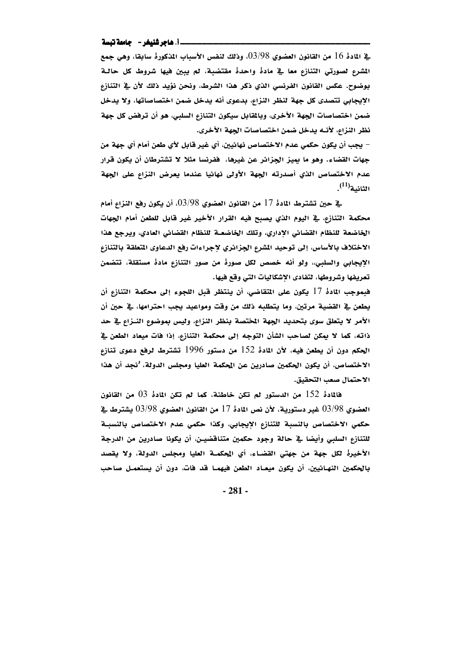### 

ـِةِ المادة 16 من القانون العضوي 03/98، وذلك لنفس الأسباب المذكورة سابقا، وهي جمع المشرع لصورتي التنازع معا في مادهْ واحدهْ مقتضبة، لم يبين فيها شروط كل حالـة بوضوح. عكس القانون الفرنسي الذي ذكر هذا الشرط، ونحن نؤيد ذلك لأن في التنازع الإيجابي تتصدى كل جهة لنظر النزاع، بدعوى أنه يدخل ضمن اختصاصاتها، ولا يدخل ضمن اختصاصات الجهة الأخرى، وبالمقابل سيكون التنازع السلبي، هو أن ترفض كل جهة نظر النزاع، لأنــه يدخل ضمن اختصاصات الجهة الأخرى.

– يجب أن يكون حكمي عدم الاختصاص نهائيين، أي غير قابل لأي طعن أمام أي جهة من جهات القضاء. وهو ما يميز الجزائر عن غيرها، ففرنسا مثلا لا تشترطان أن يكون قرار عدم الاختصاص الذي أصدرته الجهة الأولى نهائيا عندما يعرض النزاع على الجهة الثانية<sup>(11)</sup>.

ـِية حين تشترط المادة 17 من القانون العضوي 03/98، أن يكون رفع النزاع أمام محكمة التنازع، في اليوم الذي يصبح فيه القرار الأخير غير قابل للطعن أمام الجهات الخاضعة للنظام القضائي الإداري، وتلك الخاضعـة للنظام القضائي العادي، ويرجع هذا الاختلاف بالأساس، إلى توحيد الشرع الجزائري لاجراءات رفع الدعاوي المتعلقة بالتنازع الإيجابي والسلبي» ولو أنه خصص لكل صورة من صور التنازع مادة مستقلة، تتضمن تعريفها وشروطها، لتفادى الإشكاليات التي وقع فيها.

فبموجِبِ المادةْ 17 يكون على المتقاضي، أن ينتظر قبل اللجوءِ إلى محكمة التنازعِ أن يطعن في القضية مرتين، وما يتطلبه ذلك من وقت ومواعيد يجب احترامها، في حين أن الأمر لا يتعلق سوى بتحديد الجهة المختصة بنظر النزاع، وليس بموضوع النـزاع في حد ذاته، كما لا يمكن لصاحب الشأن التوجه إلى محكمة التنازع، إذا فات ميعاد الطعن في الحكم دون أن يطعن فيه، لأن المادة 152 من دستور 1996 تشترط لرفع دعوى تنازع الاختصاص، أن يكون الحكمين صادرين عن المحكمة العليا ومجلس الدولة، <sup>و</sup>نجد أن هذا الاحتمال صعب التحقيق.

فالمادةْ 152 من الدستور لم تكن خاطئة، كما لم تكن المادةْ 03 من القانون العضوي 03/98 غير دستورية، لأن نص المادهْ 17 من القانون العضوي 03/98 يشترط في حكمى الاختصاص بالنسبة للتنازع الإيجابي، وكذا حكمي عدم الاختصاص بالنسبة للتنازع السلبي وأيضا في حالة وجود حكمين متناقضيـن، أن يكونا صادرين من الدرجة الأخيرة لكل جهة من جهتي القضاء، أي المحكمة العليا ومجلس الدولة، ولا يقصد بالحكمين النهـائيين، أن يكون ميعـاد الطعن فيهمـا قد فات، دون أن يستعمـل صاحب

 $-281-$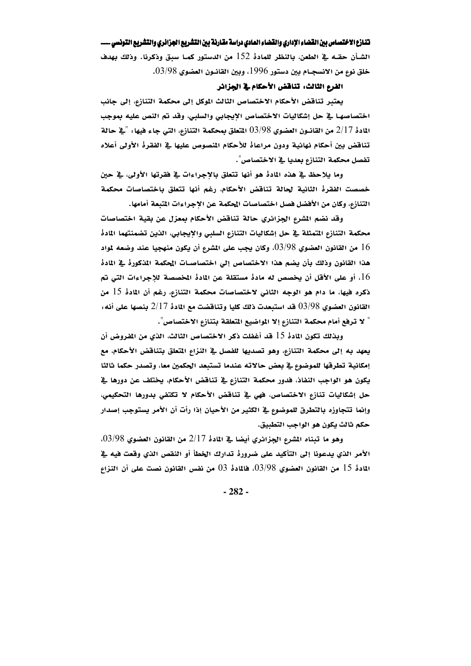الشـأن حقـه في الطعن، بالنظر للمادة 152 من الدستور كمـا سبق وذكرنا. وذلك بهدف خلق نوع من الانسجــام بين دستور 1996، وبين القانــون العضوي 03/98.

# الفرع الثالث: تناقض الأحكام في الجزائر

يعتبر تناقض الأحكام الاختصاص الثالث الموكل إلى محكمة التنازع، إلى جانب اختصاصها في حل إشكاليات الاختصاص الإيجابي والسلبي، وقد تم النص عليه بموجب المادة 2/17 من القانــون العضوي 03/98 المتعلق بمحكمة التنازع، التي جاء فيها: "في حالة تناقض بين أحكام نهائية ودون مراعاة للأحكام المصوص عليها في الفقرة الأولى أعلاه تفصل محكمة التنازع بعديا في الاختصاص".

وما يلاحظ في هذه المادهْ هو أنها تتعلق بالاجراءات في فقرتها الأولى، في حين خصصت الفقرة الثانية لحالة تناقض الأحكام، رغم أنها تتعلق باختصاصات محكمة التنازع، وكان من الأفضل فصل اختصاصات المحكمة عن الاجراءات المتعة أمامها.

وقد نضم الشرع الجزائري حالة تناقض الأحكام بمعزل عن بقية اختصاصات محكمة التنازع المتمثلة في حل إشكاليات التنازع السلبي والإيجابي، الذين تضمنتهما المادة من القانون العضوي 98/98، وكان يجب على المشرع أن يكون منهجيا عند وضعه لمواد  $16\,$ هذا القانون وذلك بأن يضم هذا الاختصاص إلى اختصاصـات المحكمة المذكورة في المادة ا، أو على الأقل أن يخصص له مادة مستقلة عن المادة المخصصة للإجراءات التي تم $16\,$ ذكره فيها، ما دام هو الوجه الثاني لاختصاصات محكمة التنازع، رغم أن المادة 15 من القانون العضوي 98/98 قد استبعدت ذلك كليا وتناقضت مع المادة 2/17 بنصها على أنه: " لا ترفع أمام محكمة التنازع إلا المواضيع المتعلقة بتنازع الاختصاص".

وبذلك تكون المادة 15 قد أغفلت ذكر الاختصاص الثالث، الذي من المفروض أن يعهد به إلى محكمة التنازع، وهو تصديها للفصل في النزاع المتعلق بتناقض الأحكام، مع إمكانية تطرقها للموضوع في بعض حالاته عندما تستبعد الحكمين معا، وتصدر حكما ثالثا يكون هو الواجب النفاذ، فدور محكمة التنازع في تناقض الأحكام، يختلف عن دورها في حل إشكاليات تنازع الاختصاص، فهي في تناقض الأحكام لا تكتفي بدورها التحكيمي، وإنما تتجاوزه بالتطرق للموضوع في الكثير من الأحيان إذا رأت أن الأمر يستوجب إصدار حكم ثالث يكون هو الواجب التطبيق.

وهو ما تبناه الشرع الجزائري أيضا في المادة 2/17 من القانون العضوي 03/98. الأمر الذي يدعونا إلى التأكيد على ضرورةْ تدارك الخطأ أو النقص الذي وقعت فيه في المُادةُ 15 من القانون العضوي 03/98، فالمُادةُ 03 من نفس القانون نصت على أن النزاع

 $-282-$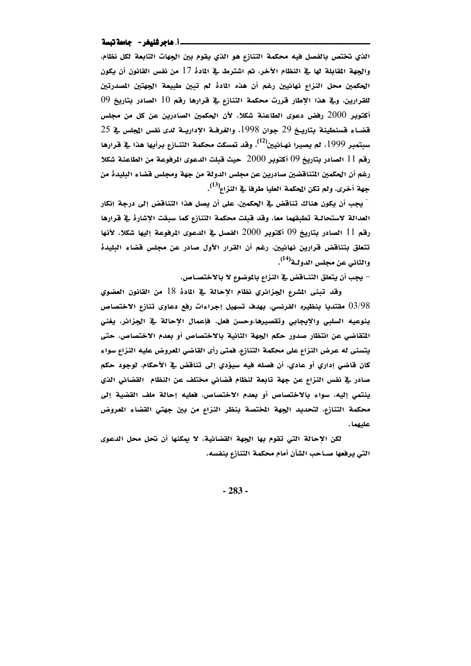### \_\_i\_ هاجر شنيغر - حامعة تبسة

الذي تختص بالفصل فيه محكمة التنازع هو الذي يقوم بين الجهات التابعة لكل نظام، والجهة المقابلة لها في النظام الآخر، ثم اشترط في المادة 17 من نفس القانون أن يكون الحكمين محل النزاع نهائيين رغم أن هذه المادة لم تبين طبيعة الجهتين المصدرتين للقرارين، وفي هذا الإطار قررت محكمة التنازع في قرارها رقم 10 الصادر بتاريخ 09 أكتوبر 2000 رفض دعوى الطاعنة شكلا، لأن الحكمين الصادرين عن كل من مجلس  $25$  قضاء قسنطينة بتاريخ 29 جوان 1998، والغرفـة الاداريـة لدى نفس المجلس في 25 سبتمبر 1999، لم يصيرا نهـائيين<sup>(12</sup>)، وقد تمسكت محكمة التنــازع برأيها هذا ـ2ٍّ قرارها رقم 11 الصادر بتاريخ 09 أكتوبر 2000 حيث قبلت الدعوى المرفوعة من الطاعنة شكلا رغم أن الحكمين التناقضين صادرين عن مجلس الدولة من جهة ومجلس قضاء البليدة من جهة أخرى، ولم تكن المحكمة العليا طرفا في النزاء<sup>(13)</sup>.

- يجب أن يكون هناك تناقض في الحكمين، على أن يصل هذا التناقض إلى درجة إنكار العدالة لاستحالــة تطبقهما معا، وقد قبلت محكمة التنازع كما سبقت الإشارة في قرارها رقم 11 الصادر بتاريخ 09 أكتوبر 2000 الفصل في الدعوى الرفوعة إليها شكلا، لأنها تتعلق بتناقض قرارين نهائيين، رغم أن القرار الأول صادر عن مجلس قضاء البليدة والثاني عن مجلس الدولـة<sup>(14)</sup>.

– يجب أن يتعلق التنــاقض في النزاع بالموضوع لا بالاختصــاص.

وقد تبنى المشرع الجزائري نظام الإحالة في المادة 18 من القانون العضوي مقتديا بنظيره الفرنسي، بهدف تسهيل إجراءات رفع دعاوى تنازع الاختصاص  $03/\!98$ بنوعيه السلبي والايجابي وتقصيرها،وحسن فعل. فإعمال الاحالة في الجزائر، يغني المتقاضي عن انتظار صدور حكم الجهة الثانية بالاختصاص أو بعدم الاختصاص، حتى يتسنى له عرض النزاع على محكمة التنازع، فمتى رأى القاضي المعروض عليه النزاع سواء كان قاضي إداري أو عادي، أن فصله فيه سيؤدي إلى تناقض في الأحكام، لوجود حكم صادر في نفس النزاع عن جهة تابعة لنظام قضائي مختلف عن النظام القضائي الذي ينتمي إليه، سواء بالاختصاص أو بعدم الاختصاص، فعليه إحالة ملف القضية إلى محكمة التنازع، لتحديد الجهة المختصة بنظر النزاع من بين جهتي القضاء المعروض عليهما.

لكن الإحالة التي تقوم بها الجهة القضائية، لا يمكنها أن تحل محل الدعوى التي يرفعها صــاحب الشأن أمام محكمة التنازع بنفسه.

 $-283-$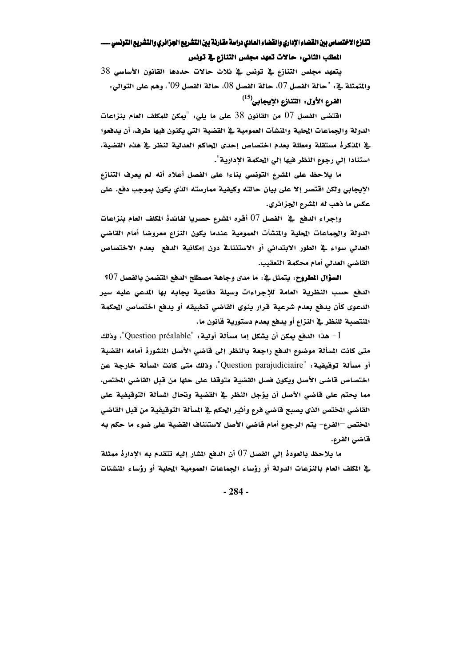المطلب الثاني: حالات تعهد مجلس التنازع في تونس

يتعهد مجلس التنازع في تونس في ثلاث حالات حددها القانون الأساسي 38 والمتمثلة في : "حالة الفصل 07، حالة الفصل 08، حالة الفصل 09"، وهم على التوالي:

# الفرم الأول: التنازم الايجابي<sup>(15)</sup>

اقتضى الفصل 07 من القانون 38 على ما يلي: "يمكن للمكلف العام بنزاعات الدولة والجماعات المحلية والمنشآت العمومية في القضية التي يكنون فيها طرف، أن يدفعوا في المذكرة مستقلة ومعللة بعدم اختصاص إحدى المحاكم العدلية لنظر في هذه القضية، استنادا إلى رجوع النظر فيها إلى الحكمة الإدارية".

ما يلاحظ على المشرع التونسي بناءا على الفصل أعلاه أنه لم يعرف التنازع الإيجابي ولكن اقتصر إلا على بيان حالته وكيفية ممارسته الذي يكون بموجب دفع. على عكس ما ذهب له المشرع الجزائري.

وإجراء الدفع في الفصل 07 أقره المشرع حصريا لفائدة المكلف العام بنزاعات الدولة والجماعات المحلية والمنشآت العمومية عندما يكون النزاع معروضا أمام القاضي العدلي سواءِ في الطور الابتدائي أو الاستئناف دون إمكانية الدفع بعدم الاختصاص القاضي العدلي أمام محكمة التعقيب.

السؤال المطروح، يتمثل في : ما مدى وجاهة مصطلح الدفع المتضمن بالفصل  $07\,$ ؟ الدفع حسب النظرية العامة للإجراءات وسيلة دفاعية يجابه بها المدعى عليه سير الدعوى كأن يدفع بعدم شرعية قرار ينوي القاضى تطبيقه أو يدفع اختصاص المحكمة المنتصبة للنظر في النزاع أو يدفع بعدم دستورية قانون ما.

هذا الدفع يمكن أن يشكل إما مسألة أولية: "Question préalable"، وذلك متى كانت المسألة موضوع الدفع راجعة بالنظر إلى قاضي الأصل المنشورة أمامه القضية أو مسألة توقيفية: "Question parajudiciaire"، وذلك متى كانت المسألة خارجة عن اختصاص فاضي الأصل ويكون فصل القضية متوقفا على حلها من قبل القاضي المختص، مما يحتم على قاضي الأصل أن يؤجل النظر في القضية وتحال المسألة التوقيفية على القاضي المختص الذي يصبح قاضي فرع وأثير الحكم في السألة التوقيفية من قبل القاضي المختص —الفرع– يتم الرجوع أمام قاضي الأصل لاستئناف القضية على ضوء ما حكم به قاضى الفرع.

ما يلاحظ بالعودةْ إلى الفصل 07 أن الدفع المشار إليه تتقدم به الإدارةْ ممثلة يٌّ المكلف العام بالنزعات الدولة أو رؤساء الجماعات العمومية المحلية أو رؤساء المنشئات

 $-284-$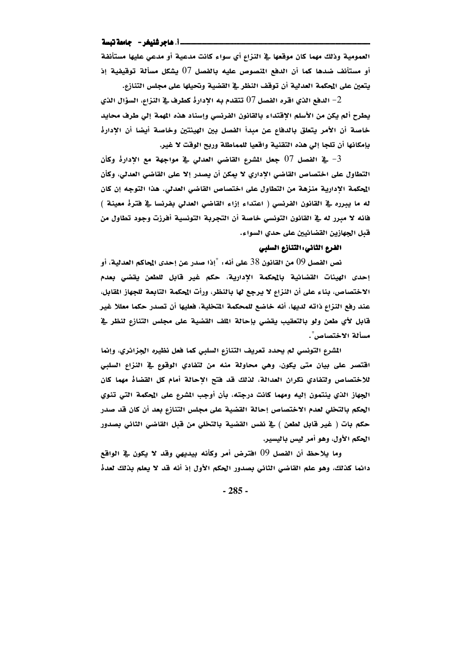### \_\_i\_ هاجر شنيغر - حامعة تبسة

العمومية وذلك مهما كان موقعها في النزاع أي سواء كانت مدعية أو مدعى عليها مستأنفة أو مستأنف ضدها كما أن الدفع المصوص عليه بالفصل 07 يشكل مسألة توقيفية إذ يتعين على المحكمة العدلية أن توقف النظر في القضية وتحيلها على مجلس التنازع.

الدفع الذي اقره الفصل  $07$  تتقدم به الإدارةْ كطرف في النزاع، السؤال الذي  $\!-2$ يطرح ألم يكن من الأسلم الإقتداء بالقانون الفرنسي وإسناد هذه المهمة إلى طرف محايد خاصة أن الأمر يتعلق بالدفاع عن مبدأ الفصل بين الهيئتين وخاصة أيضا أن الادارة بإمكانها أن تلجا إلى هذه التقنية واقعيا للمماطلة وربح الوقت لا غير.

في الفصل  $07$  جعل المشرع القاضي العدلي في مواجهة مع الإدارهْ وكأن  $-3$ التطاول على اختصاص القاضي الإداري لا يمكن أن يصدر إلا على القاضي العدلي، وكأن المحكمة الادارية منزهة من التطاول على اختصاص القاضي العدلي. هذا التوجه إن كان له ما يبرره في القانون الفرنسي ( اعتداء إزاء القاضي العدلي بفرنسا في فترة معينة ) فانه لا مبرر له في القانون التونسي خاصة أن التجربة التونسية أفرزت وجود تطاول من قبل الجهازين القضائيين على حدي السواء.

### الفرع الثاني: التنازع السلبي

نص الفصل 09 من القانون 38 على أنه: "إذا صدر عن إحدى المحاكم العدلية، أو إحدى الهيئات القضائية بالمحكمة الإدارية، حكم غير قابل للطعن يقضى بعدم الاختصاص، بناء على أن النزاع لا يرجع لها بالنظر، ورأت الحكمة التابعة للجهاز القابل، عند رفع النزاع ذاته لديها، أنه خاضع للمحكمة المتخلية، فعليها أن تصدر حكما معللا غير قابل لأي طعن ولو بالتعقيب يقضي بإحالة الملف القضية على مجلس التنازع لنظر في مسألة الاختصاص".

المشرع التونسي لم يحدد تعريف التنازع السلبي كما فعل نظيره الجزائري، وإنما اقتصر على بيان متى يكون، وهي محاولة منه من لتفادي الوقوع في النزاع السلبي للاختصاص ولتفادي نكران العدالة، لذلك قد فتح الإحالة أمام كل القضاه مهما كان الجهاز الذي ينتمون إليه ومهما كانت درجته، بأن أوجب المشرع على المحكمة التي تنوي الحكم بالتخلي لعدم الاختصاص إحالة القضية على مجلس التنازع بعد أن كان قد صدر حكم بات ( غير قابل لطعن ) في نفس القضية بالتخلي من قبل القاضي الثاني بصدور الحكم الأول، وهو أمر ليس باليسير.

وما يلاحظ أن الفصل 09 افترض أمر وكأنه بيديهي وقد لا يكون في الواقع دائما كذلك، وهو علم القاضي الثاني بصدور الحكم الأول إذ أنه قد لا يعلم بذلك لعدةْ

 $-285-$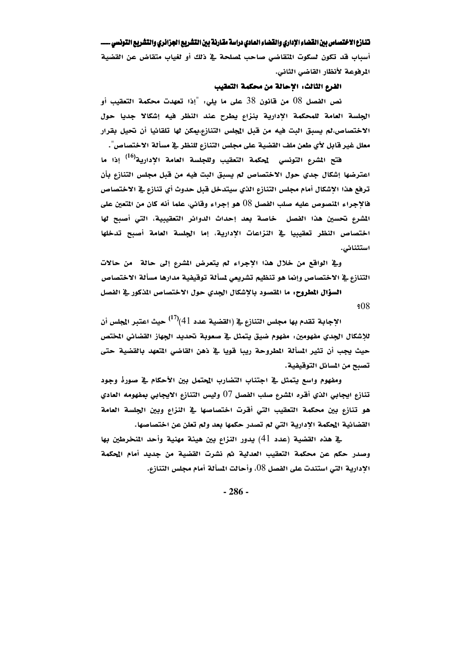أسباب قد تكون لسكوت المتقاضى صاحب لمصلحة في ذلك أو لغياب متقاض عن القضية المرفوعة لأنظار القاضى الثاني.

### الفرع الثالث: الاحالة من محكمة التعقيب

نص الفصل 08 من قانون 38 على ما يلي: "إذا تعهدت محكمة التعقيب أو الجلسة العامة للمحكمة الإدارية بنزاع يطرح عند النظر فيه إشكالا جديا حول الاختصاص،لم يسبق البت فيه من قبل المجلس التنازع،يمكن لها تلقائيا أن تحيل بقرار معلل غير قابل لأي طعن ملف القضية على مجلس التنازع للنظر في مسألة الاختصاص".

فتح المشرع التونسي لمحكمة التعقيب وللجلسة العامة الإدارية<sup>(10</sup>) إذا ما اعترضها إشكال جدي حول الاختصاص لم يسبق البت فيه من قبل مجلس التنازع بأن ترفع هذا الإشكال أمام مجلس التنازع الذي سيتدخل قبل حدوث أي تنازع في الاختصاص فالإجراء المنصوص عليه صلب الفصل 08 هو إجراء وقائي، علما أنه كان من المتعين على المشرع تحسين هذا الفصل خاصة بعد إحداث الدوائر التعقيبية، التي أصبح لها اختصاص النظر تعقيبيا في النزاعات الأدارية، إما الجلسة العامة أصبح تدخلها استثنائی.

وفي الواقع من خلال هذا الإجراء لم يتعرض المشرع إلى حالة من حالات التنازع في الاختصاص وإنما هو تنظيم تشريعي لمسألة توقيفية مدارها مسألة الاختصاص

السؤال المطروح: ما المقصود بالإشكال الجدي حول الاختصاص المذكور في الفصل  $$08$ 

الإجابة تقدم بها مجلس التنازع في (القضية عدد 41)<sup>(17)</sup> حيث اعتبر المجلس أن للإشكال الجدي مفهومين: مفهوم ضيق يتمثل في صعوبة تحديد الجهاز القضائي المختص حيث يجب أن تثير المسألة المطروحة ريبا قويا في ذهن القاضي المتعهد بالقضية حتى تصبح من المسائل التوقيفية.

ومفهوم واسع يتمثل في اجتناب التضارب المحتمل بين الأحكام في صورة وجود تنازع ايجابي الذي أقره المشرع صلب الفصل 07 وليس التنازع الايجابي بمفهومه العادي هو تنازع بين محكمة التعقيب التي أقرت اختصاصها في النزاع وبين الجلسة العامة القضائية المحكمة الإدارية التي لم تصدر حكمها بعد ولم تعلن عن اختصاصها.

ية هذه القضية (عدد 41) يدور النزاع بين هيئة مهنية وأحد المنخرطين بها وصدر حكم عن محكمة التعقيب العدلية ثم نشرت القضية من جديد أمام المحكمة الإدارية التي استندت على الفصل 08، وأحالت المسألة أمام مجلس التنازع.

 $-286-$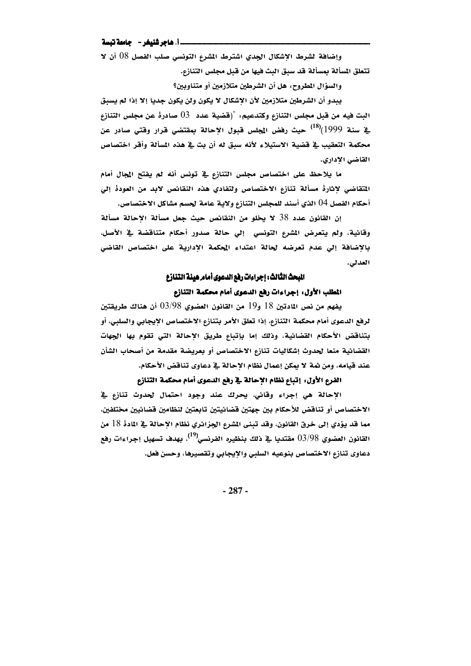### 

وإضافة لشرط الاشكال الجدي اشترط الشرع التونسي صلب الفصل 08 أن لا تتعلق المسألة بمسألة قد سبق البث فيها من قبل مجلس التنازع.

والسؤال المطروح، هل أن الشرطين متلازمين أو متناوبين؟

يبدو أن الشرطين متلازمين لأن الإشكال لا يكون ولن يكون جديا إلا إذا لم يسبق البت فيه من قبل مجلس التنازع وكتدعيم: "(قضية عدد ـ 03 صادرة عن مجلس التنازع <u>ي</u>ّ سنة 1999)<sup>(18</sup>) حيث رفض المجلس قبول الإحالة بمقتضى قرار وقت*ى* صادر عن محكمة التعقيب في قضية الاستيلاء لأنه سبق له أن بت في هذه المسألة وأقر اختصاص القاضي الإداري.

ما يلاحظ على اختصاص مجلس التنازع في تونس أنه لم يفتح المجال أمام المتقاضي لاثارة مسألة تنازع الاختصاص ولتفادي هذه النقائص لابد من العودة إلى أحكام الفصل 04 الذي أسند للمجلس التنازع ولاية عامة لحسم مشاكل الاختصاص.

إن القانون عدد 38 لا يخلو من النقائص حيث جعل مسألة الإحالة مسألة وقائية، ولم يتعرض الشرع التونسي إلى حالة صدور أحكام متناقضة في الأصل، بالاضافة إلى عدم تعرضه لحالة اعتداء المحكمة الادارية على اختصاص القاضي العدلي.

# المبحث الثالث: إجراءات رفع الدعوى أمام هيئة التنازع

# المطلب الأول: إجراءات رفع الدعوى أمام محكمة التنازع

يفهم من نص المادتين 18 و19 من القانون العضوي 98/98 أن هناك طريقتين لرفع الدعوى أمام محكمة التنازع، إذا تعلق الأمر بتنازع الاختصاص الإيجابي والسلبي، أو بتناقض الأحكام القضائية، وذلك إما بإتباع طريق الاحالة التي تقوم بها الجهات القضائية منعا لحدوث إشكاليات تنازع الاختصاص أو بعريضة مقدمة من أصحاب الشأن عند قيامه، ومن شه ٌ لا يمكن إعمال نظام الإحالة في دعاوى تناقض الأحكام.

# الفرع الأول، إتباع نظام الإحالة في رفع الدعوى أمام محكمة التنازع

الإحالة هي إجراء وقائي، يحرك عند وجود احتمال لحدوث تنازع في الاختصاص أو تناقض للأحكام بين جهتين قضائيتين تابعتين لنظامين قضائيين مختلفين، مما قد يؤدي إلى خرق القانون، وقد تبني الشرع الجزائري نظام الإحالة في المادهْ 18 من القانون العضوي 93/98 مقتديا في ذلك بنظيره الفرنسي<sup>(19)</sup>. بهدف تسهيل إجراءات رفع دعاوى تنازع الاختصاص بنوعيه السلبي والإيجابي وتقصيرها، وحسن فعل.

 $-287-$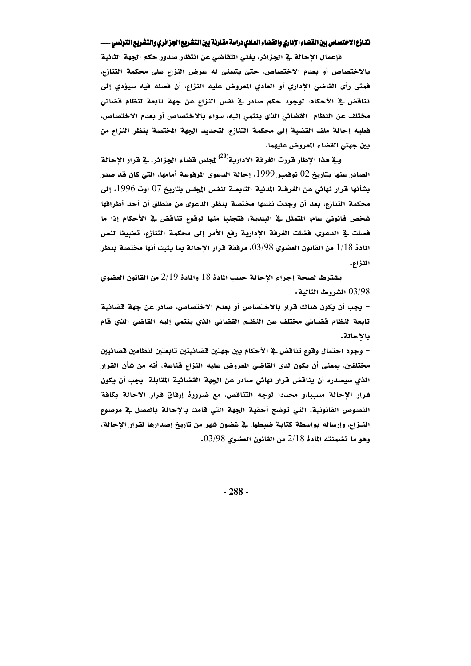فإعمال الإحالة في الجزائر، يغني المتقاضي عن انتظار صدور حكم الجهة الثانية بالاختصاص أو بعدم الاختصاص، حتى يتسنى له عرض النزاع على محكمة التنازع، فمتى رأى القاضي الإداري أو العادي المعروض عليه النزاع، أن فصله فيه سيؤدي إلى تناقض ﴾ الأحكام، لوجود حكم صادر ﴾ نفس النزاع عن جهة تابعة لنظام قضائي مختلف عن النظام القضائي الذي ينتمي إليه، سواء بالاختصاص أو بعدم الاختصاص، فعليه إحالة ملف القضية إلى محكمة التنازع، لتحديد الجهة المختصة بنظر النزاع من بين جهتي القضاء المعروض عليهما.

و<u>بة</u> هذا الإطار قررت الغرفة الإدارية<sup>(20</sup>) <u>ل</u>جلس قضاء الجزائر، <u>ب</u>ة قرار الإحالة الصادر عنها بتاريخ 02 نوفمبر 1999، إحالة الدعوى الرفوعة أمامها، التي كان قد صدر بِشأنها قرار نهائي عن الغرفــة المدنية التابعــة لنفس المجلس بتاريخ 07 أوت 1996، إلى محكمة التنازع، بعد أن وجدت نفسها مختصة بنظر الدعوى من منطلق أن أحد أطرافها شخص قانوني عام، التمثل في البلدية، فتجنبا منها لوقوع تناقض في الأحكام إذا ما فصلت في الدعوى، فضلت الغرفة الأدارية رفع الأمر إلى محكمة التنازع، تطبيقا لنص المادة 1/18 من القانون العضوي 98/98)، مرفقة قرار الاحالة بما يثبت أنها مختصة بنظر النزاع.

يشترط لصحة إجراء الإحالة حسب المادة 18 والمادة 2/19 من القانون العضوي 03/98 الشروط التالية.

– يجب أن يكون هناك قرار بالاختصاص أو بعدم الاختصاص، صادر عن جهة قضائية تابعة لنظام قضائي مختلف عن النظم القضائي الذي ينتمي إليه القاضي الذي قام بالإحالة.

– وجود احتمال وقوع تناقض ية الأحكام بين جهتين قضائيتين تابعتين لنظامين قضائيين مختلفين، بمعنى أن يكون لدى القاضي المعروض عليه النزاع قناعة، أنه من شأن القرار الذي سيصدره أن يناقض قرار نهائي صادر عن الجهة القضائية القابلة يجب أن يكون قرار الإحالة مسببا،و محددا لوجه التناقص، مع ضرورة إرفاق قرار الإحالة بكافة النصوص القانونية، التي توضح أحقية الجهة التي قامت بالإحالة بالفصل في موضوع النــزام، وإرساله بواسطة كتابة ضبطها، في غضون شهر من تاريخ إصدارها لقرار الإحالة، وهو ما تضمنته المادة 2/18 من القانون العضوي 03/98.

 $-288-$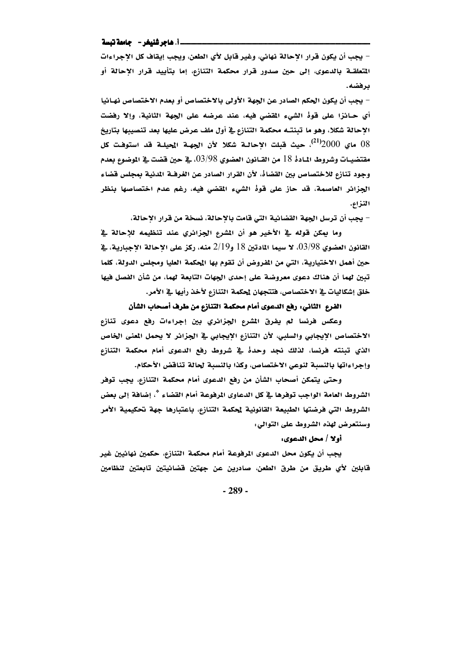#### \_\_i\_ هاجر شنيغر - حامعة تبسة

– يجب أن يكون قرار الاحالة نهائي، وغير قابل لأي الطعن، ويجب إيقاف كل الإجراءات المتعلقــة بالدعوى، إلى حين صدور قرار محكمة التنازع، إما بتأييد قرار الإحالة أو برفضه.

– يجب أن يكون الحكم الصادر عن الجهة الأولى بالاختصاص أو بعدم الاختصاص نهـائيا أي حـائزا على قوهْ الشيء المقضى فيه، عند عرضه على الجهة الثانية، وإلا رفضت الاحالة شكلا، وهو ما تبنتـه محكمة التنازع في أول ملف عرض عليها بعد تنصيبها بتاريخ 08 ماي  $2000^{(21)}$ ، حيث قبلت الإحالـة شكلا لأن الجهـة المحيلـة قد استوفـت كل مقتضيــات وشروط المـادة 18 من القــانون العضوي 98/98). يقـْ حين قضت يقـ الموضوع بعدم وجود تنازع للاختصاص بين القضاه، لأن القرار الصادر عن الغرفــة المدنية بمجلس قضاء الجزائر العاصمة، قد حاز على قوة الشيء المقضى فيه، رغم عدم اختصاصها بنظر النزاع.

– يجب أن ترسل الجهة القضائية التي قامت بالإحالة، نسخة من قرار الإحالة،

وما يمكن قوله في الأخير هو أن المشرع الجزائري عند تنظيمه للإحالة في القانون العضوي 03/98. لا سيما المادتين 18 و2/19 منه، ركز على الاحالة الاجبارية، في حين أهمل الاختيارية، التي من المفروض أن تقوم بها المحكمة العليا ومجلس الدولة، كلما تبين لهما أن هناك دعوى معروضة على إحدى الجهات التابعة لهما، من شأن الفصل فيها خلق إشكاليات في الاختصاص، فتتجهان لحكمة التنازع لأخذ رأيها في الأمر.

# الفرع الثاني: رفع الدعوى أمام محكمة التنازع من طرف أصحاب الشأن

وعكس فرنسا لم يفرق الشرع الجزائري بين إجراءات رفع دعوى تنازع الاختصاص الإيجابي والسلبي، لأن التنازع الإيجابي في الجزائر لا يحمل المني الخاص الذي تبنته فرنسا، لذلك نجد وحدهْ في شروط رفع الدعوى أمام محكمة التنازع وإجراءاتها بالنسبة لنوعى الاختصاص، وكذا بالنسبة لحالة تناقض الأحكام.

وحتى يتمكن أصحاب الشأن من رفع الدعوى أمام محكمة التنازع، يجب توفر الشروط العامة الواجب توفرها في كل الدعاوى المرفوعة أمام القضاء \*، إضافة إلى بعض الشروط التي فرضتها الطبيعة القانونية لحكمة التنازع، باعتبارها جهة تحكيمية الأمر وسنتعرض لهذه الشروط على التوالي:

أولا / محل الدعوى:

يجب أن يكون محل الدعوى المرفوعة أمام محكمة التنازع، حكمين نهائيين غير قابلين لأي طريق من طرق الطعن، صادرين عن جهتين قضائيتين تابعتين لنظامين

 $-289-$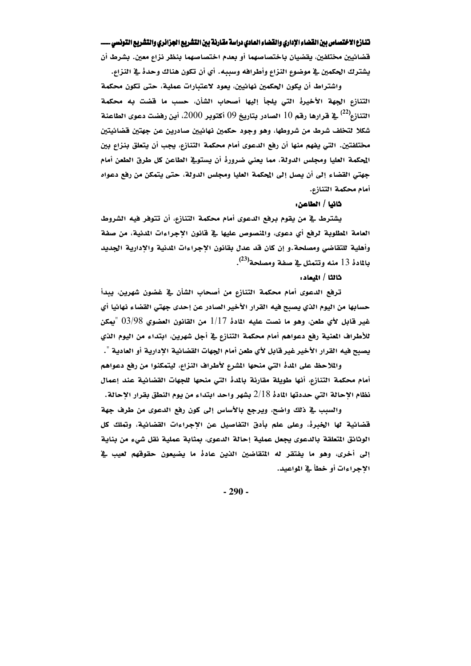قضائيين مختلفين، يقضيان باختصاصهما أو بعدم اختصاصهما بنظر نزاع معين. بشرط أن يشترك الحكمين في موضوع النزاع وأطرافه وسببه. أي أن تكون هناك وحدهْ في النزاع.

واشتراط أن يكون الحكمين نهائيين، يعود لاعتبارات عملية، حتى تكون محكمة التنازع الجهة الأخيرة التي يلجأ إليها أصحاب الشأن، حسب ما قضت به محكمة التنازع $^{(22)}$  في قرارها رقم 10 الصادر بتاريخ 09 أكتوبر 2000، أين رفضت دعوى الطاعنة  $^{(22)}$ شكلا لتخلف شرط من شروطها، وهو وجود حكمين نهائيين صادرين عن جهتين قضائيتين مختلفتين. التي يفهم منها أن رفع الدعوى أمام محكمة التنازع، يجب أن يتعلق بنزاع بين الحكمة العليا ومجلس الدولة، مما يعني ضرورة أن يستوقِّ الطاعن كل طرق الطعن أمام جهتي القضاء إلى أن يصل إلى المحكمة العليا ومجلس الدولة، حتى يتمكن من رفع دعواه أمام محكمة التنازع.

### ثانيا / الطاعن:

يشترط في من يقوم برفع الدعوى أمام محكمة التنازع، أن تتوفر فيه الشروط العامة المطلوبة لرفع أي دعوي، والمنصوص عليها في قانون الاجراءات المدنية، من صفة وأهلية للتقاضي ومصلحة.و إن كان قد عدل بقانون الإجراءات المدنية والإدارية الجديد بالمادة 13 منه وتتمثل <u>ي</u>ة صفة ومصلحة<sup>(23)</sup>.

### ثالثا / المعاد:

ترفع الدعوى أمام محكمة التنازع من أصحاب الشأن في غضون شهرين، يبدأ حسابها من اليوم الذي يصبح فيه القرار الأخير الصادر عن إحدى جهتى القضاء نهائيا أي غير قابل لأي طعن، وهو ما نصت عليه المادهْ 1/17 من القانون العضوي 03/98 "يمكن للأطراف المنية رفع دعواهم أمام محكمة التنازع في أجل شهرين، ابتداء من اليوم الذي يصبح فيه القرار الأخير غير قابل لأي طعن أمام الجهات القضائية الإدارية أو العادية ".

والملاحظ على المدة التي منحها المشرع لأطراف النزاع، ليتمكنوا من رفع دعواهم أمام محكمة التنازع، أنها طويلة مقارنة بالمدة التي منحها للجهات القضائية عند إعمال نظام الإحالة التي حددتها المادهْ 2/18 بِشهرٍ واحد ابتداء من يوم النطق بقرار الإحالة.

والسبب في ذلك واضح، ويرجع بالأساس إلى كون رفع الدعوى من طرف جهة قضائية لها الخبرة، وعلى علم بأدق التفاصيل عن الإجراءات القضائية، وتملك كل الوثائق المتعلقة بالدعوى يجعل عملية إحالة الدعوى، بمثابة عملية نقل شيء من بناية إلى أخرى، وهو ما يفتقر له المتقاضين الذين عادهْ ما يضيعون حقوقهم لعيب في الاجراءات أو خطأ في المواعيد.

 $-290-$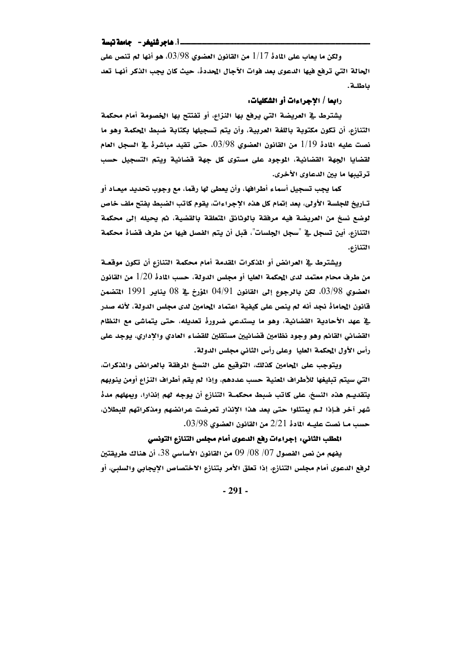### \_\_i. هاجر شنيغر -- جامعة تبسة

ولكن ما يعاب على المادة 1/17 من القانون العضوي 03/98، هو أنها لم تنص على الحالة التي ترفع فيها الدعوى بعد فوات الآجال المحددة، حيث كان يجب الذكر أنهـا تعد باطلة.

رابعا / الاجراءات أو الشكليات:

يشترط في العريضة التي يرفع بها النزاع، أو تفتتح بها الخصومة أمام محكمة التنازع، أن تكون مكتوبة باللغة العربية، وأن يتم تسجيلها بكتابة ضبط المحكمة وهو ما نصت عليه المادة 1/19 من القانون العضوي 03/98، حتى تقيد مباشرة في السجل العام لقضايا الجهة القضائية، الموجود على مستوى كل جهة قضائية ويتم التسجيل حسب ترتيبها ما بين الدعاوى الأخرى.

كما يجب تسجيل أسماء أطرافها، وأن يعطي لها رقما، مع وجوب تحديد ميعـاد أو تـاريخ للجلسة الأولى، بعد إتمام كل هذه الإجراءات، يقوم كاتب الضبط بفتح ملف خاص لوضع نسخ من العريضة فيه مرفقة بالوثائق المتعلقة بالقضية، ثم يحيله إلى محكمة التنازع، أين تسجل في "سجل الجلسات"، قبل أن يتم الفصل فيها من طرف قضاهْ محكمة التنازم.

ويشترط في العرائض أو المذكرات المقدمة أمام محكمة التنازع أن تكون موقعـة من طرف محام معتمد لدى المحكمة العليا أو مجلس الدولة، حسب المادة 1/20 من القانون العضوي 03/98، لكن بالرجوع إلى القانون 04/91 المؤرخ في 08 يناير 1991 المتضمن قانون المحاماة نجد أنه لم ينص على كيفية اعتماد المحامين لدى مجلس الدولة، لأنه صدر يةِ عهد الأحادية القضائية، وهو ما يستدعى ضرورةْ تعديله، حتى يتماشى مع النظام القضائي القائم وهو وجود نظامين قضائيين مستقلين للقضاء العادي والإداري، يوجد على رأس الأول المحكمة العليا وعلى رأس الثاني مجلس الدولة.

ويتوجب على المحامين كذلك، التوقيع على النسخ المرفقة بالعرائض والمذكرات، التي سيتم تبليغها للأطراف المعنية حسب عددهم، وإذا لم يقم أطراف النزاع أومن ينوبهم بتقديـم هذه النسخ، على كاتب ضبط محكمـة التنازع أن يوجه لهم إنذارا، ويمهلهم مدهْ شهر آخر فـإذا لـم يمتثلوا حتى بعد هذا الإنذار تعرضت عرائضهم ومذكراتهم للبطلان، حسب مــا نصت عليـــه المادة 2/21 من القانون العضوي 03/98.

### المطلب الثاني: إجراءات رفع الدعوى أمام مجلس التنازع التونسي

يفهم من نص الفصول 07/ 08/ 09 من القانون الأساسي 38، أن هناك طريقتين لرفع الدعوى أمام مجلس التنازع، إذا تعلق الأمر بتنازع الاختصاص الإيجابي والسلبي، أو

 $-291-$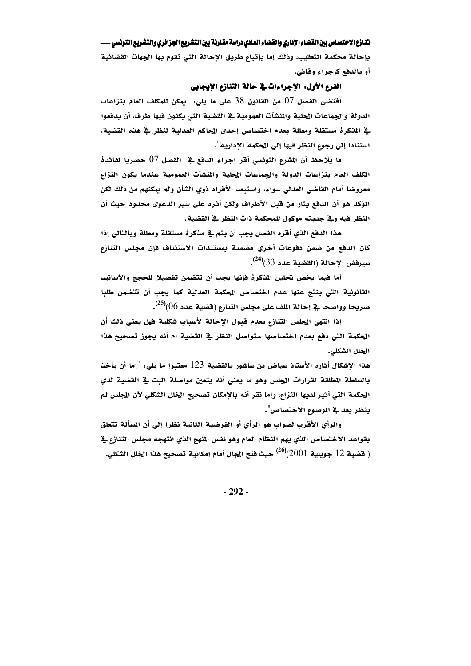بإحالة محكمة التعقيب، وذلك إما بإتباع طريق الإحالة التي تقوم بها الجهات القضائية أو بالدفع كإجراء وقائي.

# الفرع الأول: الإجراءات في حالة التنازع الإيجابي

اقتضى الفصل 07 من القانون 38 على ما يلي: "يمكن للمكلف العام بنزاعات الدولة والجماعات المحلية والمنشآت العمومية في القضية التي يكنون فيها طرف، أن يدهعوا في المذكرة مستقلة ومعللة بعدم اختصاص إحدى المحاكم العدلية لنظر في هذه القضية، استنادا إلى رجوع النظر فيها إلى المحكمة الإدارية".

ما يلاحظ أن المشرع التونسي أقر إجراء الدفع في الفصل 07 حصريا لفائدة المكلف العام بنزاعات الدولة والجماعات المحلية والمنشآت العمومية عندما يكون النزاع معروضا أمام القاضي العدلي سواء، واستبعد الأفراد ذوي الشأن ولم يمكنهم من ذلك لكن المؤكد هو أن الدفع يثار من قبل الأطراف ولكن أثره على سير الدعوى محدود حيث أن النظر فيه وفي جديته موكول للمحكمة ذات النظر في القضية.

هذا الدفع الذي أقره الفصل يجب أن يتم في مذكرة مستقلة ومعللة وبالتالي إذا كان الدفع من ضمن دفوعات أخري مضمنة بمستندات الاستئناف فإن مجلس التنازع  $\cdot ^{(24)}$ سيرفض الإحالة (القضية عدد 33) $^{(24)}$ .

أما فيما يخص تحليل المذكرة فإنها يجب أن تتضمن تفصيلا للحجج والأسانيد القانونية التي ينتج عنها عدم اختصاص المحكمة العدلية كما يجب أن تتضمن طلبا صريحا وواضحا في إحالة المف على مجلس التنازع (قضية عدد 06) $^{(25)}$ .

إذا انتهى المجلس التنازع بعدم قبول الإحالة لأسباب شكلية فهل يعنى ذلك أن الحكمة التي دفع بعدم اختصاصها ستواصل النظر في القضية أم أنه يجوز تصحيح هذا الخلل الشكلي.

هذا الاشكال أثاره الأستاذ عياض بن عاشور بالقضية 123 معتبرا ما يلي: "إما أن يأخذ بالسلطة المطلقة لقرارات المجلس وهو ما يعنى أنه يتعين مواصلة البت في القضية لدي المحكمة التي أثير لديها النزاع، وإما نقر أنه بالإمكان تصحيح الخلل الشكلي لأن المجلس لم ينظر بعد في الموضوع الاختصاص".

والرأي الأقرب لصواب هو الرأي أو الفرضية الثانية نظرا إلى أن المسألة تتعلق بقواعد الاختصاص الذي يهم النظام العام وهو نفس المنهج الذي انتهجه مجلس التنازع فخ ( فَضية 12 جويلية 2001)<sup>(26)</sup> حيث فتح المجال أمام إمكانية تصحيح هذا الخلل الشكلى.

 $-292-$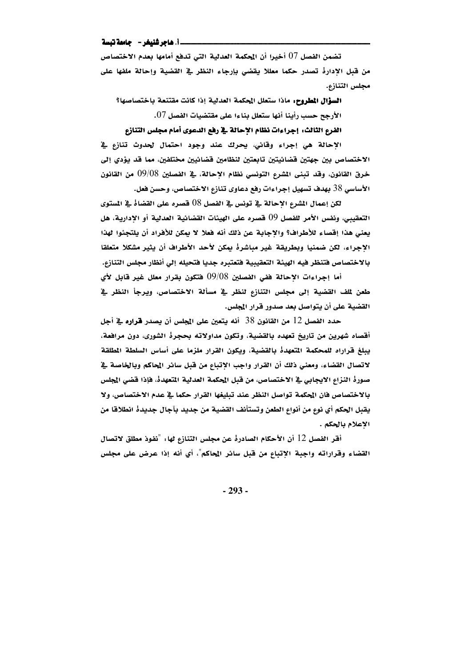\_\_i\_ هاجر شنيغر - حامعة تبسة

تضمن الفصل 07 أخيرا أن الحكمة العدلية التي تدفع أمامها بعدم الاختصاص من قبل الإدارة تصدر حكما معللا يقضى بإرجاء النظر في القضية وإحالة ملفها على مجلس التنازع.

السؤال المطروح. ماذا ستعلل الحكمة العدلية إذا كانت مقتنعة باختصاصها؟ الأرجح حسب رأينا أنها ستعلل بناءا على مقتضيات الفصل 07.

الفرع الثالث: إجراءات نظام الإحالة في رفع الدعوى أمام مجلس التنازع

الإحالة هي إجراء وقائي، يحرك عند وجود احتمال لحدوث تنازع في الاختصاص بين جهتين قضائيتين تابعتين لنظامين قضائيين مختلفين، مما قد يؤدي إلى خرق القانون، وقد تبني المشرع التونسي نظام الإحالة، في الفصلين 09/08 من القانون الأساسي 38 بهدف تسهيل إجراءات رفع دعاوي تنازع الاختصاص، وحسن فعل.

لكن إعمال المشرع الإحالة في تونس في الفصل 08 قصره على القضاة في المستوى التعقيبي، ونفس الأمر للفصل 09 قصره على الهيئات القضائية العدلية أو الإدارية، هل يعني هذا إقصاء للأطراف؟ والإجابة عن ذلك أنه فعلا لا يمكن للأفراد أن يلتجئوا لهذا الاجراء، لكن ضمنيا وبطريقة غير مباشرة بمكن لأحد الأطراف أن يثير مشكلا متعلقا بالاختصاص فتنظر فيه الهيئة التعقيبية فتعتبره جديا فتحيله إلى أنظار مجلس التنازع.

أما إجراءات الإحالة ففي الفصلين 09/08 فتكون بقرار معلل غير قابل لأي طعن لملف القضية إلى مجلس التنازع لنظر في مسألة الاختصاص، ويرجأ النظر في القضية على أن يتواصل بعد صدور قرار المجلس.

حدد الفصل 12 من القانون 38 أنه يتعين على المجلس أن يصدر قراره في أجل أقصاه شهرين من تاريخ تعهده بالقضية، وتكون مداولاته بحجرة الشورى، دون مرافعة، يبلغ فراراه للمحكمة المتعهدة بالقضية، ويكون القرار ملزما على أساس السلطة المطلقة لاتصال القضاء، ومعنى ذلك أن القرار واجب الإتباع من قبل سائر المحاكم وبالخاصة في صورة النزاع الايجابي في الاختصاص، من قبل الحكمة العدلية المتعهدة، فإذا قضى الجلس بالاختصاص فان الحكمة تواصل النظر عند تبليغها القرار حكما في عدم الاختصاص، ولا يقبل الحكم أي نوع من أنواع الطعن وتستأنف القضية من جديد بآجال جديدهْ انطلاقا من الإعلام بالحكم .

أقر الفصل 12 أن الأحكام الصادرةْ عن مجلس التنازع لها: "نفوذ مطلق لاتصال القضاء وقراراته واجبة الإتباع من قبل سائر المحاكم"، أي أنه إذا عرض على مجلس

 $-293-$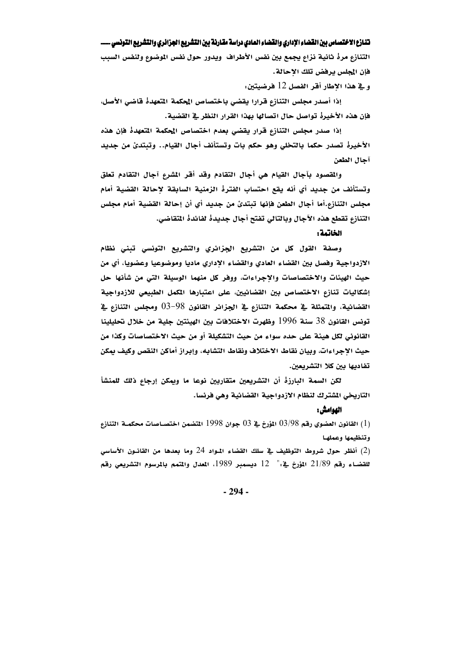التنازع مرة ثانية نزاع يجمع بين نفس الأطراف ويدور حول نفس الموضوع ولنفس السبب فإن المجلس يرفض تلك الإحالة.

و في هذا الإطار أقر الفصل 12 فرضيتين.

إذا أصدر مجلس التنازع قرارا يقضى باختصاص الحكمة المتعهدة قاضى الأصل، فإن هذه الأخيرة تواصل حال اتصالها بهذا القرار النظر في القضية.

إذا صدر مجلس التنازع قرار يقضى بعدم اختصاص المحكمة المتعهدة فإن هذه الأخيرة تصدر حكما بالتخلي وهو حكم بات وتستأنف أجال القيام.. وتبتدئ من جديد آجال الطعن

والمقصود بآجال القيام هي أجال التقادم وقد أقر المشرع آجال التقادم تعلق وتستأنف من جديد أي أنه يقع احتساب الفترة الزمنية السابقة لإحالة القضية أمام مجلس التنازع.أما أجال الطعن فإنها تبتدئ من جديد أي أن إحالة القضية أمام مجلس التنازع تقطع هذه الآجال وبالتالي تفتح أجال جديدة لفائدة المتقاضي.

الخاتمة:

وصفة القول كل من التشريع الجزائري والتشريع التونسي تبنى نظام الازدواجية وفصل بين القضاء العادي والقضاء الإداري ماديا وموضوعيا وعضويا، أي من حيث الهيئات والاختصاصات والإجراءات، ووفر كل منهما الوسيلة التي من شأنها حل إشكاليات تنازع الاختصاص بين القضائيين، على اعتبارها المكمل الطبيعي للازدواجية القضائية، والمتمثلة في محكمة التنازع في الجزائر القانون 98–03 ومجلس التنازع في تونس القانون 38 سنة 1996 وظهرت الاختلافات بين الهيئتين جلية من خلال تحليلينا القانوني لكل هيئة على حده سواء من حيث التشكيلة أو من حيث الاختصاصات وكذا من حيث الإجراءات، وبيان نقاط الاختلاف ونقاط التشابه، وإبراز أماكن النقص وكيف بمكن تفاديها بين كلا التشريعين.

لكن السمة البارزة أن التشريعين متقاربين نوعا ما وبمكن إرجاع ذلك للمنشأ التاريخي الشترك لنظام الازدواجية القضائية وهي فرنسا.

### الهوامش :

القانون العضوي رقم 03/98 المؤرخ في 03 جوان 1998 المتضمن اختصــاصات محكمــة التنازع  $(1)$ وتنظيمها وعملها

(2) أنظر حول شروط التوظيف في سلك القضاء المواد 24 وما بعدها من القانـون الأساسي للقضاء رقم 21/89 المؤرخ في :" 12 ديسمبر 1989، المعدل والمتمم بالمرسوم التشريعي رقم

 $-294-$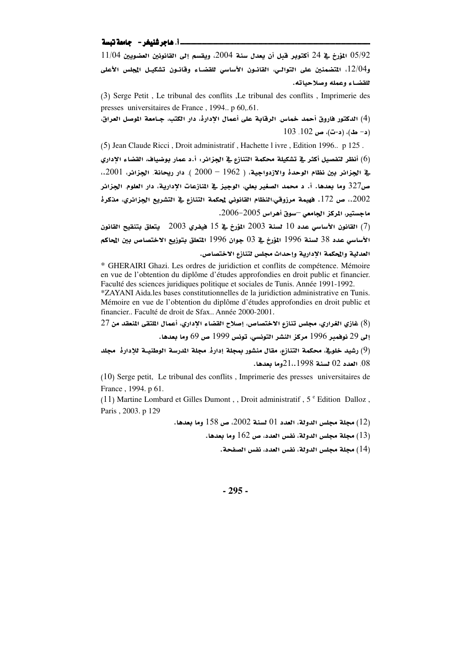### 

 $11/04$  المؤرخ في 24 أكتوبر قبل أن يعدل سنة 2004، ويقسم إلى القانونين العضويين 11/04  $05/92$ و12/04، المتضمنين على التوالي، القانـون الأساسي للقضـاء وقانـون تشكيـل المجلس الأعلى للقضاء وعمله وصلاحياته.

(3) Serge Petit, Le tribunal des conflits, Le tribunal des conflits, Imprimerie des presses universitaires de France, 1994. p 60,.61.

(4) الدكتور فاروق أحمد خماس. الرقابة على أعمال الإدارة، دار الكتب، جـامعة الموصل العراق،  $(103, 102, \omega)$ ، (د-ت)، ص $(103, 102, \omega)$ 

(5) Jean Claude Ricci, Droit administratif, Hachette I ivre, Edition 1996.. p 125. (6) أنظر لتفصيل أكثر في تشكيلة محكمة التنازع في الجزائر. أ.د عمار بوضياف، القضاء الإداري يِّ الجِزائر بين نظام الوحدة والازدواجية، ( 1962 – 2000 ). دار ريحانة. الجِزائر، 2001.، ص327 وما بعدها. أ. د محمد الصغير بعلي، الوجيز في المنازعات الإدارية، دار العلوم. الجزائر. .2002. ص 172. فهيمة مرزوقي،النظام القانوني لمحكمة التنازع في التشريع الجزائري، مذكرهْ ماجستير، المركز الجامعي –سوق أهراس 2005-2006.

القانون الأساسي عدد 10 لسنة 2003 المؤرخ في 15 فيفري 2003 يتعلق بتنقيح القانون  $(7)$ الأساسي عدد 38 لسنة 1996 المؤرخ في 03 جوان 1996 المتعلق بتوزيع الاختصاص بين المحاكم العدلية والحكمة الإدارية وإحداث مجلس لتنازع الاختصاص.

\* GHERAIRI Ghazi. Les ordres de juridiction et conflits de compétence. Mémoire en vue de l'obtention du diplôme d'études approfondies en droit public et financier. Faculté des sciences juridiques politique et sociales de Tunis. Année 1991-1992.

\*ZAYANI Aida.les bases constitutionnelles de la juridiction administrative en Tunis. Mémoire en vue de l'obtention du diplôme d'études approfondies en droit public et financier.. Faculté de droit de Sfax.. Année 2000-2001.

(8) غازي الغراري، مجلس تنازع الاختصاص، إصلاح القضاء الإداري، أعمال الملتقى المنعقد من 27

إلى 29 نوفمبر 1996 مركز النشر التونسي، تونس 1999 ص 69 وما بعدها.

(9) رشيد خلوية، محكمة التنازع، مقال منشور بمجلة إدارةً, مجلة المرسة الوطنيــة للإدارة مجلد 08, العدد 02 لسنة 1998.،22 وما بعدها.

(10) Serge petit, Le tribunal des conflits, Imprimerie des presses universitaires de France, 1994. p 61.

(11) Martine Lombard et Gilles Dumont, Droit administratif,  $5^{\circ}$  Edition Dalloz, Paris, 2003. p 129

مجلة مجلس الدولة، العدد 01 لسنة 2002، ص 158 وما بعدها.  $(12)$ 

بطلة مجلس الدولة، نفس العدد، ص $162$  وما بعدها  $(13)$ 

(14) مجلة مجلس الدولة، نفس العدد، نفس الصفحة.

 $-295-$